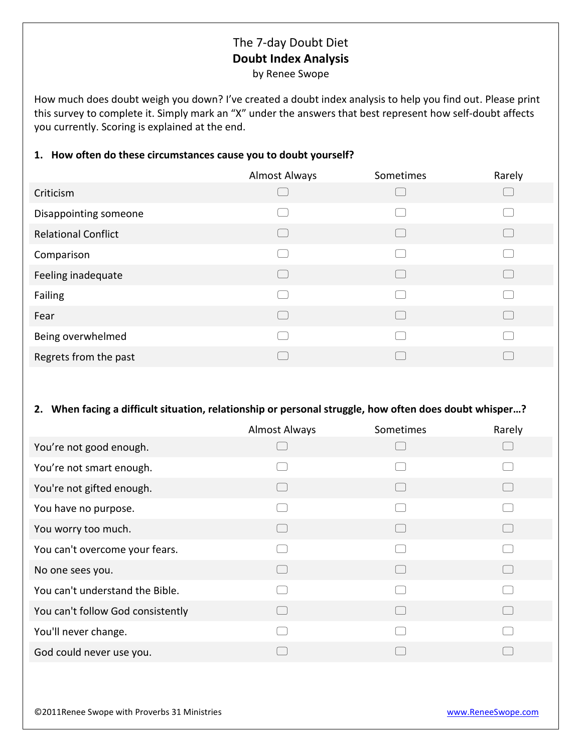## The 7-day Doubt Diet **Doubt Index Analysis**

by Renee Swope

How much does doubt weigh you down? I've created a doubt index analysis to help you find out. Please print this survey to complete it. Simply mark an "X" under the answers that best represent how self-doubt affects you currently. Scoring is explained at the end.

## **1. How often do these circumstances cause you to doubt yourself?**

|                            | <b>Almost Always</b> | Sometimes | Rarely |
|----------------------------|----------------------|-----------|--------|
| Criticism                  |                      |           |        |
| Disappointing someone      |                      |           |        |
| <b>Relational Conflict</b> | $\Box$               |           | L.     |
| Comparison                 |                      |           |        |
| Feeling inadequate         |                      |           |        |
| Failing                    |                      |           |        |
| Fear                       |                      |           |        |
| Being overwhelmed          |                      |           |        |
| Regrets from the past      |                      |           |        |
|                            |                      |           |        |

## **2. When facing a difficult situation, relationship or personal struggle, how often does doubt whisper…?**

|                                   | <b>Almost Always</b> | Sometimes | Rarely |
|-----------------------------------|----------------------|-----------|--------|
| You're not good enough.           |                      |           |        |
| You're not smart enough.          |                      |           |        |
| You're not gifted enough.         |                      |           |        |
| You have no purpose.              |                      |           |        |
| You worry too much.               |                      |           |        |
| You can't overcome your fears.    |                      |           |        |
| No one sees you.                  |                      |           |        |
| You can't understand the Bible.   |                      |           |        |
| You can't follow God consistently |                      |           |        |
| You'll never change.              |                      |           |        |
| God could never use you.          |                      |           |        |